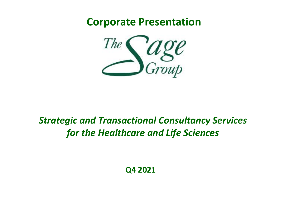**Corporate Presentation**



#### *Strategic and Transactional Consultancy Services for the Healthcare and Life Sciences*

**Q4 2021**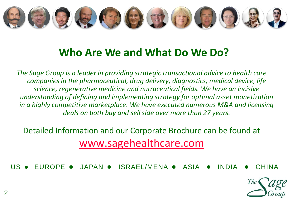

#### **Who Are We and What Do We Do?**

*The Sage Group is a leader in providing strategic transactional advice to health care companies in the pharmaceutical, drug delivery, diagnostics, medical device, life science, regenerative medicine and nutraceutical fields. We have an incisive understanding of defining and implementing strategy for optimal asset monetization in a highly competitive marketplace. We have executed numerous M&A and licensing deals on both buy and sell side over more than 27 years.*

Detailed Information and our Corporate Brochure can be found at [www.sagehealthcare.com](http://www.sagehealthcare.com/)

US  $\bullet$  FUROPE  $\bullet$  JAPAN  $\bullet$  ISRAEL/MENA  $\bullet$  ASIA  $\bullet$  INDIA  $\bullet$  CHINA

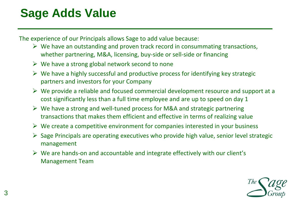### **Sage Adds Value**

The experience of our Principals allows Sage to add value because:

- $\triangleright$  We have an outstanding and proven track record in consummating transactions, whether partnering, M&A, licensing, buy-side or sell-side or financing
- $\triangleright$  We have a strong global network second to none
- $\triangleright$  We have a highly successful and productive process for identifying key strategic partners and investors for your Company
- $\triangleright$  We provide a reliable and focused commercial development resource and support at a cost significantly less than a full time employee and are up to speed on day 1
- ➢ We have a strong and well-tuned process for M&A and strategic partnering transactions that makes them efficient and effective in terms of realizing value
- $\triangleright$  We create a competitive environment for companies interested in your business
- $\triangleright$  Sage Principals are operating executives who provide high value, senior level strategic management
- $\triangleright$  We are hands-on and accountable and integrate effectively with our client's Management Team

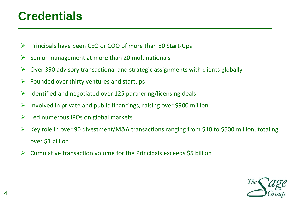#### **Credentials**

- $\triangleright$  Principals have been CEO or COO of more than 50 Start-Ups
- $\triangleright$  Senior management at more than 20 multinationals
- $\triangleright$  Over 350 advisory transactional and strategic assignments with clients globally
- $\triangleright$  Founded over thirty ventures and startups
- $\triangleright$  Identified and negotiated over 125 partnering/licensing deals
- $\triangleright$  Involved in private and public financings, raising over \$900 million
- $\triangleright$  Led numerous IPOs on global markets
- $\triangleright$  Key role in over 90 divestment/M&A transactions ranging from \$10 to \$500 million, totaling over \$1 billion
- $\triangleright$  Cumulative transaction volume for the Principals exceeds \$5 billion

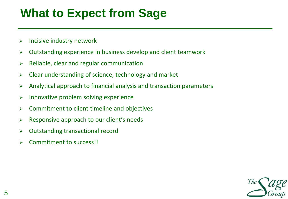#### **What to Expect from Sage**

- $\triangleright$  Incisive industry network
- ➢ Outstanding experience in business develop and client teamwork
- $\triangleright$  Reliable, clear and regular communication
- ➢ Clear understanding of science, technology and market
- $\triangleright$  Analytical approach to financial analysis and transaction parameters
- ➢ Innovative problem solving experience
- $\triangleright$  Commitment to client timeline and objectives
- $\triangleright$  Responsive approach to our client's needs
- ➢ Outstanding transactional record
- Commitment to success!!

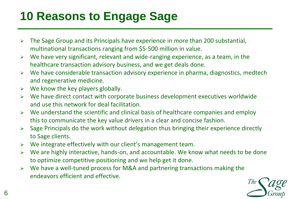# **10 Reasons to Engage Sage**

- ➢ The Sage Group and its Principals have experience in more than 200 substantial, multinational transactions ranging from \$5-500 million in value.
- ➢ We have very significant, relevant and wide-ranging experience, as a team, in the healthcare transaction advisory business, and we get deals done.
- ➢ We have considerable transaction advisory experience in pharma, diagnostics, medtech and regenerative medicine.
- $\triangleright$  We know the key players globally.
- ➢ We have direct contact with corporate business development executives worldwide and use this network for deal facilitation.
- $\triangleright$  We understand the scientific and clinical basis of healthcare companies and employ this to communicate the key value drivers in a clear and concise fashion.
- Sage Principals do the work without delegation thus bringing their experience directly to Sage clients.
- ➢ We integrate effectively with our client's management team.
- ➢ We are highly interactive, hands-on, and accountable. We know what needs to be done to optimize competitive positioning and we help get it done.
- ➢ We have a well-tuned process for M&A and partnering transactions making the endeavors efficient and effective.

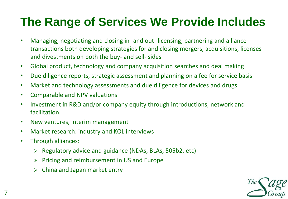### **The Range of Services We Provide Includes**

- Managing, negotiating and closing in- and out- licensing, partnering and alliance transactions both developing strategies for and closing mergers, acquisitions, licenses and divestments on both the buy- and sell- sides
- Global product, technology and company acquisition searches and deal making
- Due diligence reports, strategic assessment and planning on a fee for service basis
- Market and technology assessments and due diligence for devices and drugs
- Comparable and NPV valuations
- Investment in R&D and/or company equity through introductions, network and facilitation.
- New ventures, interim management
- Market research: industry and KOL interviews
- Through alliances:
	- ➢ Regulatory advice and guidance (NDAs, BLAs, 505b2, etc)
	- ➢ Pricing and reimbursement in US and Europe
	- ➢ China and Japan market entry

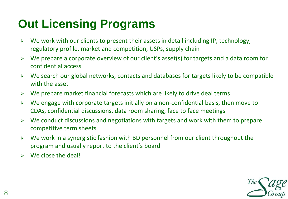# **Out Licensing Programs**

- $\triangleright$  We work with our clients to present their assets in detail including IP, technology, regulatory profile, market and competition, USPs, supply chain
- We prepare a corporate overview of our client's asset(s) for targets and a data room for confidential access
- $\triangleright$  We search our global networks, contacts and databases for targets likely to be compatible with the asset
- $\triangleright$  We prepare market financial forecasts which are likely to drive deal terms
- $\triangleright$  We engage with corporate targets initially on a non-confidential basis, then move to CDAs, confidential discussions, data room sharing, face to face meetings
- $\triangleright$  We conduct discussions and negotiations with targets and work with them to prepare competitive term sheets
- ➢ We work in a synergistic fashion with BD personnel from our client throughout the program and usually report to the client's board
- $\triangleright$  We close the deal!

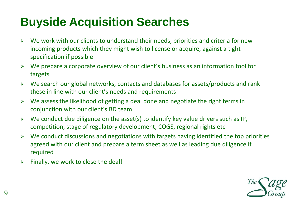# **Buyside Acquisition Searches**

- $\triangleright$  We work with our clients to understand their needs, priorities and criteria for new incoming products which they might wish to license or acquire, against a tight specification if possible
- $\triangleright$  We prepare a corporate overview of our client's business as an information tool for targets
- $\triangleright$  We search our global networks, contacts and databases for assets/products and rank these in line with our client's needs and requirements
- $\triangleright$  We assess the likelihood of getting a deal done and negotiate the right terms in conjunction with our client's BD team
- $\triangleright$  We conduct due diligence on the asset(s) to identify key value drivers such as IP, competition, stage of regulatory development, COGS, regional rights etc
- $\triangleright$  We conduct discussions and negotiations with targets having identified the top priorities agreed with our client and prepare a term sheet as well as leading due diligence if required
- $\triangleright$  Finally, we work to close the deal!

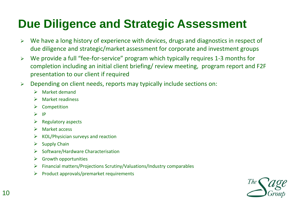#### **Due Diligence and Strategic Assessment**

- ➢ We have a long history of experience with devices, drugs and diagnostics in respect of due diligence and strategic/market assessment for corporate and investment groups
- ➢ We provide a full "fee-for-service" program which typically requires 1-3 months for completion including an initial client briefing/ review meeting, program report and F2F presentation to our client if required
- ➢ Depending on client needs, reports may typically include sections on:
	- ➢ Market demand
	- ➢ Market readiness
	- ➢ Competition
	- $>$  IP
	- $\triangleright$  Regulatory aspects
	- ➢ Market access
	- $\triangleright$  KOL/Physician surveys and reaction
	- $\triangleright$  Supply Chain
	- ➢ Software/Hardware Characterisation
	- $\triangleright$  Growth opportunities
	- ➢ Financial matters/Projections Scrutiny/Valuations/Industry comparables
	- ➢ Product approvals/premarket requirements

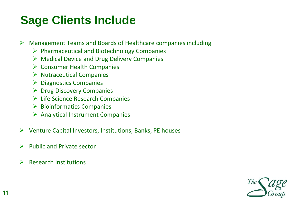# **Sage Clients Include**

 $\triangleright$  Management Teams and Boards of Healthcare companies including

- ➢ Pharmaceutical and Biotechnology Companies
- $\triangleright$  Medical Device and Drug Delivery Companies
- ➢ Consumer Health Companies
- $\triangleright$  Nutraceutical Companies
- ➢ Diagnostics Companies
- ➢ Drug Discovery Companies
- $\triangleright$  Life Science Research Companies
- ➢ Bioinformatics Companies
- ➢ Analytical Instrument Companies
- $\triangleright$  Venture Capital Investors, Institutions, Banks, PE houses
- ➢ Public and Private sector
- $\triangleright$  Research Institutions

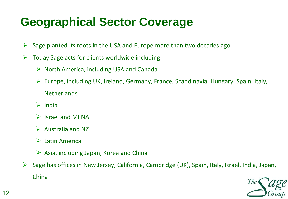# **Geographical Sector Coverage**

- $\triangleright$  Sage planted its roots in the USA and Europe more than two decades ago
- $\triangleright$  Today Sage acts for clients worldwide including:
	- ➢ North America, including USA and Canada
	- ➢ Europe, including UK, Ireland, Germany, France, Scandinavia, Hungary, Spain, Italy, **Netherlands**
	- ➢ India
	- ➢ Israel and MENA
	- $\triangleright$  Australia and NZ
	- ➢ Latin America
	- $\triangleright$  Asia, including Japan, Korea and China
- ➢ Sage has offices in New Jersey, California, Cambridge (UK), Spain, Italy, Israel, India, Japan, China

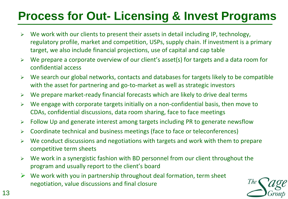# **Process for Out- Licensing & Invest Programs**

- $\triangleright$  We work with our clients to present their assets in detail including IP, technology, regulatory profile, market and competition, USPs, supply chain. If investment is a primary target, we also include financial projections, use of capital and cap table
- ➢ We prepare a corporate overview of our client's asset(s) for targets and a data room for confidential access
- ➢ We search our global networks, contacts and databases for targets likely to be compatible with the asset for partnering and go-to-market as well as strategic investors
- $\triangleright$  We prepare market-ready financial forecasts which are likely to drive deal terms
- $\triangleright$  We engage with corporate targets initially on a non-confidential basis, then move to CDAs, confidential discussions, data room sharing, face to face meetings
- ➢ Follow Up and generate interest among targets including PR to generate newsflow
- ➢ Coordinate technical and business meetings (face to face or teleconferences)
- $\triangleright$  We conduct discussions and negotiations with targets and work with them to prepare competitive term sheets
- $\triangleright$  We work in a synergistic fashion with BD personnel from our client throughout the program and usually report to the client's board
- $\triangleright$  We work with you in partnership throughout deal formation, term sheet negotiation, value discussions and final closure

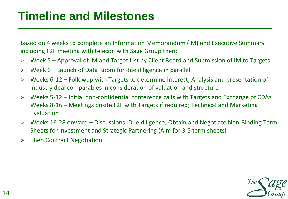#### **Timeline and Milestones**

Based on 4 weeks to complete an Information Memorandum (IM) and Executive Summary including F2F meeting with telecon with Sage Group then:

- ➢ Week 5 Approval of IM and Target List by Client Board and Submission of IM to Targets
- ➢ Week 6 Launch of Data Room for due diligence in parallel
- Weeks 6-12 Followup with Targets to determine interest; Analysis and presentation of industry deal comparables in consideration of valuation and structure
- ➢ Weeks 5-12 Initial non-confidential conference calls with Targets and Exchange of CDAs Weeks 8-16 – Meetings onsite F2F with Targets if required; Technical and Marketing Evaluation
- ➢ Weeks 16-28 onward Discussions, Due diligence; Obtain and Negotiate Non-Binding Term Sheets for Investment and Strategic Partnering (Aim for 3-5 term sheets)
- ➢ Then Contract Negotiation

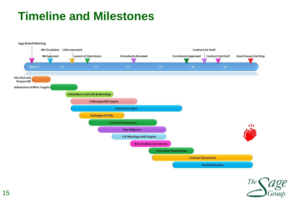#### **Timeline and Milestones**



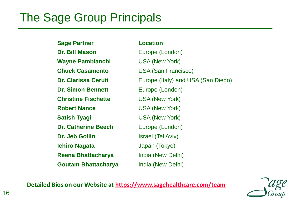#### The Sage Group Principals

**Sage Partner Location Dr. Bill Mason** Europe (London) **Wayne Pambianchi** USA (New York) **Chuck Casamento** USA (San Francisco) **Dr. Simon Bennett** Europe (London) **Christine Fischette** USA (New York) **Robert Nance** USA (New York) **Satish Tyagi** USA (New York) **Dr. Catherine Beech** Europe (London) **Dr. Jeb Gollin** Israel (Tel Aviv) **Ichiro Nagata** Japan (Tokyo) **Reena Bhattacharya** India (New Delhi) **Goutam Bhattacharya** India (New Delhi)

**Dr. Clarissa Ceruti** Europe (Italy) and USA (San Diego)

**Detailed Bios on our Website at<https://www.sagehealthcare.com/team>**

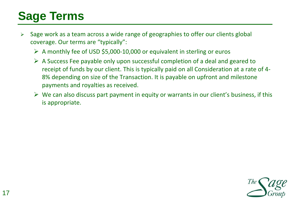# **Sage Terms**

- ➢ Sage work as a team across a wide range of geographies to offer our clients global coverage. Our terms are "typically":
	- ➢ A monthly fee of USD \$5,000-10,000 or equivalent in sterling or euros
	- $\triangleright$  A Success Fee payable only upon successful completion of a deal and geared to receipt of funds by our client. This is typically paid on all Consideration at a rate of 4- 8% depending on size of the Transaction. It is payable on upfront and milestone payments and royalties as received.
	- $\triangleright$  We can also discuss part payment in equity or warrants in our client's business, if this is appropriate.